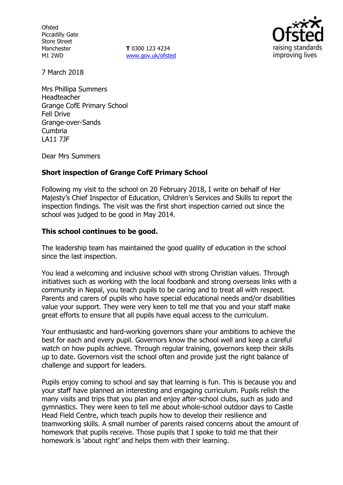**Ofsted** Piccadilly Gate Store Street Manchester M1 2WD

**T** 0300 123 4234 www.gov.uk/ofsted



7 March 2018

Mrs Phillipa Summers Headteacher Grange CofE Primary School Fell Drive Grange-over-Sands Cumbria LA11 7JF

Dear Mrs Summers

# **Short inspection of Grange CofE Primary School**

Following my visit to the school on 20 February 2018, I write on behalf of Her Majesty's Chief Inspector of Education, Children's Services and Skills to report the inspection findings. The visit was the first short inspection carried out since the school was judged to be good in May 2014.

# **This school continues to be good.**

The leadership team has maintained the good quality of education in the school since the last inspection.

You lead a welcoming and inclusive school with strong Christian values. Through initiatives such as working with the local foodbank and strong overseas links with a community in Nepal, you teach pupils to be caring and to treat all with respect. Parents and carers of pupils who have special educational needs and/or disabilities value your support. They were very keen to tell me that you and your staff make great efforts to ensure that all pupils have equal access to the curriculum.

Your enthusiastic and hard-working governors share your ambitions to achieve the best for each and every pupil. Governors know the school well and keep a careful watch on how pupils achieve. Through regular training, governors keep their skills up to date. Governors visit the school often and provide just the right balance of challenge and support for leaders.

Pupils enjoy coming to school and say that learning is fun. This is because you and your staff have planned an interesting and engaging curriculum. Pupils relish the many visits and trips that you plan and enjoy after-school clubs, such as judo and gymnastics. They were keen to tell me about whole-school outdoor days to Castle Head Field Centre, which teach pupils how to develop their resilience and teamworking skills. A small number of parents raised concerns about the amount of homework that pupils receive. Those pupils that I spoke to told me that their homework is 'about right' and helps them with their learning.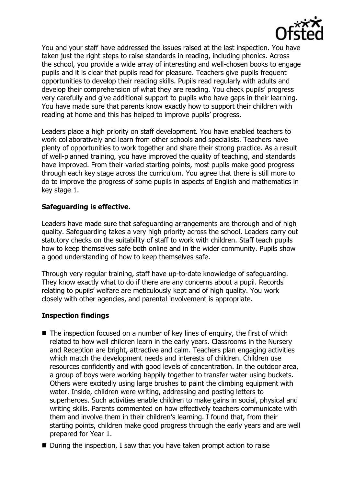

You and your staff have addressed the issues raised at the last inspection. You have taken just the right steps to raise standards in reading, including phonics. Across the school, you provide a wide array of interesting and well-chosen books to engage pupils and it is clear that pupils read for pleasure. Teachers give pupils frequent opportunities to develop their reading skills. Pupils read regularly with adults and develop their comprehension of what they are reading. You check pupils' progress very carefully and give additional support to pupils who have gaps in their learning. You have made sure that parents know exactly how to support their children with reading at home and this has helped to improve pupils' progress.

Leaders place a high priority on staff development. You have enabled teachers to work collaboratively and learn from other schools and specialists. Teachers have plenty of opportunities to work together and share their strong practice. As a result of well-planned training, you have improved the quality of teaching, and standards have improved. From their varied starting points, most pupils make good progress through each key stage across the curriculum. You agree that there is still more to do to improve the progress of some pupils in aspects of English and mathematics in key stage 1.

# **Safeguarding is effective.**

Leaders have made sure that safeguarding arrangements are thorough and of high quality. Safeguarding takes a very high priority across the school. Leaders carry out statutory checks on the suitability of staff to work with children. Staff teach pupils how to keep themselves safe both online and in the wider community. Pupils show a good understanding of how to keep themselves safe.

Through very regular training, staff have up-to-date knowledge of safeguarding. They know exactly what to do if there are any concerns about a pupil. Records relating to pupils' welfare are meticulously kept and of high quality. You work closely with other agencies, and parental involvement is appropriate.

# **Inspection findings**

- $\blacksquare$  The inspection focused on a number of key lines of enquiry, the first of which related to how well children learn in the early years. Classrooms in the Nursery and Reception are bright, attractive and calm. Teachers plan engaging activities which match the development needs and interests of children. Children use resources confidently and with good levels of concentration. In the outdoor area, a group of boys were working happily together to transfer water using buckets. Others were excitedly using large brushes to paint the climbing equipment with water. Inside, children were writing, addressing and posting letters to superheroes. Such activities enable children to make gains in social, physical and writing skills. Parents commented on how effectively teachers communicate with them and involve them in their children's learning. I found that, from their starting points, children make good progress through the early years and are well prepared for Year 1.
- During the inspection, I saw that you have taken prompt action to raise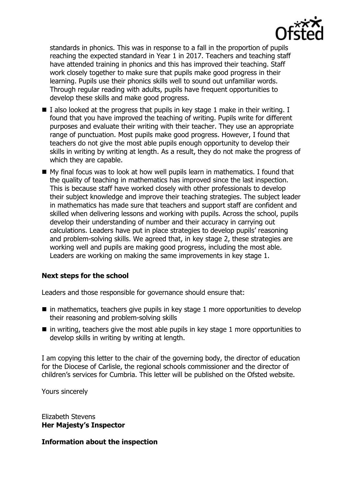

standards in phonics. This was in response to a fall in the proportion of pupils reaching the expected standard in Year 1 in 2017. Teachers and teaching staff have attended training in phonics and this has improved their teaching. Staff work closely together to make sure that pupils make good progress in their learning. Pupils use their phonics skills well to sound out unfamiliar words. Through regular reading with adults, pupils have frequent opportunities to develop these skills and make good progress.

- I also looked at the progress that pupils in key stage 1 make in their writing. I found that you have improved the teaching of writing. Pupils write for different purposes and evaluate their writing with their teacher. They use an appropriate range of punctuation. Most pupils make good progress. However, I found that teachers do not give the most able pupils enough opportunity to develop their skills in writing by writing at length. As a result, they do not make the progress of which they are capable.
- $\blacksquare$  My final focus was to look at how well pupils learn in mathematics. I found that the quality of teaching in mathematics has improved since the last inspection. This is because staff have worked closely with other professionals to develop their subject knowledge and improve their teaching strategies. The subject leader in mathematics has made sure that teachers and support staff are confident and skilled when delivering lessons and working with pupils. Across the school, pupils develop their understanding of number and their accuracy in carrying out calculations. Leaders have put in place strategies to develop pupils' reasoning and problem-solving skills. We agreed that, in key stage 2, these strategies are working well and pupils are making good progress, including the most able. Leaders are working on making the same improvements in key stage 1.

# **Next steps for the school**

Leaders and those responsible for governance should ensure that:

- $\blacksquare$  in mathematics, teachers give pupils in key stage 1 more opportunities to develop their reasoning and problem-solving skills
- $\blacksquare$  in writing, teachers give the most able pupils in key stage 1 more opportunities to develop skills in writing by writing at length.

I am copying this letter to the chair of the governing body, the director of education for the Diocese of Carlisle, the regional schools commissioner and the director of children's services for Cumbria. This letter will be published on the Ofsted website.

Yours sincerely

Elizabeth Stevens **Her Majesty's Inspector**

**Information about the inspection**